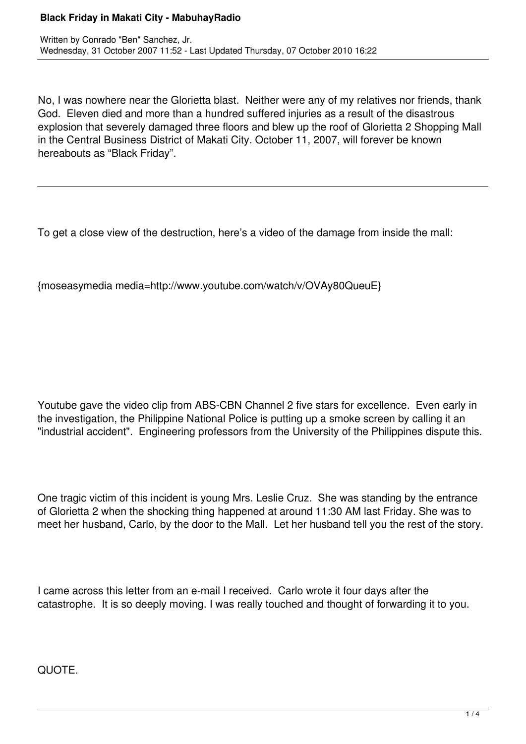## **Black Friday in Makati City - MabuhayRadio**

No, I was nowhere near the Glorietta blast. Neither were any of my relatives nor friends, thank God. Eleven died and more than a hundred suffered injuries as a result of the disastrous explosion that severely damaged three floors and blew up the roof of Glorietta 2 Shopping Mall in the Central Business District of Makati City. October 11, 2007, will forever be known hereabouts as "Black Friday".

To get a close view of the destruction, here's a video of the damage from inside the mall:

{moseasymedia media=http://www.youtube.com/watch/v/OVAy80QueuE}

Youtube gave the video clip from ABS-CBN Channel 2 five stars for excellence. Even early in the investigation, the Philippine National Police is putting up a smoke screen by calling it an "industrial accident". Engineering professors from the University of the Philippines dispute this.

One tragic victim of this incident is young Mrs. Leslie Cruz. She was standing by the entrance of Glorietta 2 when the shocking thing happened at around 11:30 AM last Friday. She was to meet her husband, Carlo, by the door to the Mall. Let her husband tell you the rest of the story.

I came across this letter from an e-mail I received. Carlo wrote it four days after the catastrophe. It is so deeply moving. I was really touched and thought of forwarding it to you.

QUOTE.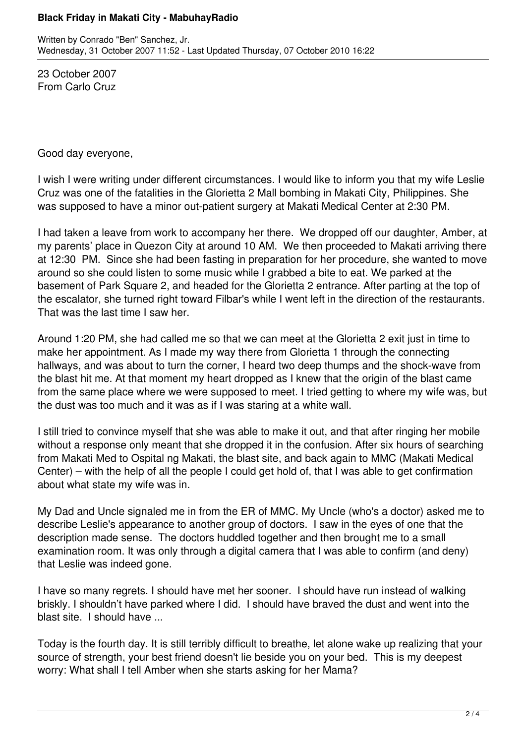## **Black Friday in Makati City - MabuhayRadio**

23 October 2007 From Carlo Cruz

Good day everyone,

I wish I were writing under different circumstances. I would like to inform you that my wife Leslie Cruz was one of the fatalities in the Glorietta 2 Mall bombing in Makati City, Philippines. She was supposed to have a minor out-patient surgery at Makati Medical Center at 2:30 PM.

I had taken a leave from work to accompany her there. We dropped off our daughter, Amber, at my parents' place in Quezon City at around 10 AM. We then proceeded to Makati arriving there at 12:30 PM. Since she had been fasting in preparation for her procedure, she wanted to move around so she could listen to some music while I grabbed a bite to eat. We parked at the basement of Park Square 2, and headed for the Glorietta 2 entrance. After parting at the top of the escalator, she turned right toward Filbar's while I went left in the direction of the restaurants. That was the last time I saw her.

Around 1:20 PM, she had called me so that we can meet at the Glorietta 2 exit just in time to make her appointment. As I made my way there from Glorietta 1 through the connecting hallways, and was about to turn the corner, I heard two deep thumps and the shock-wave from the blast hit me. At that moment my heart dropped as I knew that the origin of the blast came from the same place where we were supposed to meet. I tried getting to where my wife was, but the dust was too much and it was as if I was staring at a white wall.

I still tried to convince myself that she was able to make it out, and that after ringing her mobile without a response only meant that she dropped it in the confusion. After six hours of searching from Makati Med to Ospital ng Makati, the blast site, and back again to MMC (Makati Medical Center) – with the help of all the people I could get hold of, that I was able to get confirmation about what state my wife was in.

My Dad and Uncle signaled me in from the ER of MMC. My Uncle (who's a doctor) asked me to describe Leslie's appearance to another group of doctors. I saw in the eyes of one that the description made sense. The doctors huddled together and then brought me to a small examination room. It was only through a digital camera that I was able to confirm (and deny) that Leslie was indeed gone.

I have so many regrets. I should have met her sooner. I should have run instead of walking briskly. I shouldn't have parked where I did. I should have braved the dust and went into the blast site. I should have ...

Today is the fourth day. It is still terribly difficult to breathe, let alone wake up realizing that your source of strength, your best friend doesn't lie beside you on your bed. This is my deepest worry: What shall I tell Amber when she starts asking for her Mama?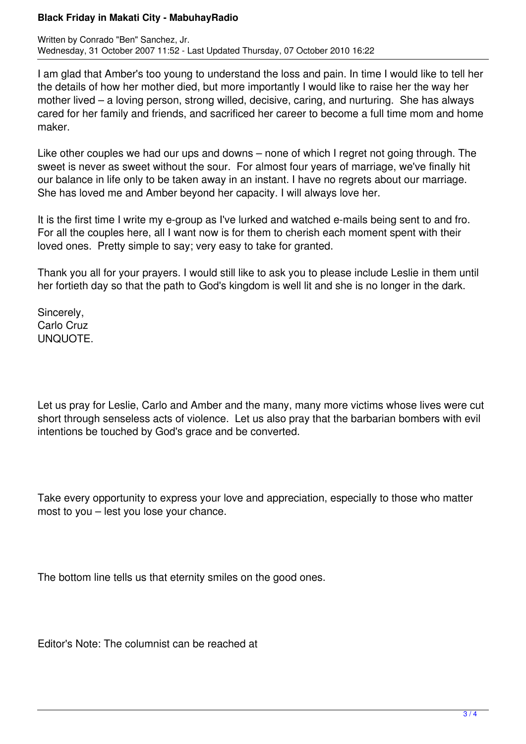## **Black Friday in Makati City - MabuhayRadio**

I am glad that Amber's too young to understand the loss and pain. In time I would like to tell her the details of how her mother died, but more importantly I would like to raise her the way her mother lived – a loving person, strong willed, decisive, caring, and nurturing. She has always cared for her family and friends, and sacrificed her career to become a full time mom and home maker.

Like other couples we had our ups and downs – none of which I regret not going through. The sweet is never as sweet without the sour. For almost four years of marriage, we've finally hit our balance in life only to be taken away in an instant. I have no regrets about our marriage. She has loved me and Amber beyond her capacity. I will always love her.

It is the first time I write my e-group as I've lurked and watched e-mails being sent to and fro. For all the couples here, all I want now is for them to cherish each moment spent with their loved ones. Pretty simple to say; very easy to take for granted.

Thank you all for your prayers. I would still like to ask you to please include Leslie in them until her fortieth day so that the path to God's kingdom is well lit and she is no longer in the dark.

Sincerely, Carlo Cruz UNQUOTE.

Let us pray for Leslie, Carlo and Amber and the many, many more victims whose lives were cut short through senseless acts of violence. Let us also pray that the barbarian bombers with evil intentions be touched by God's grace and be converted.

Take every opportunity to express your love and appreciation, especially to those who matter most to you – lest you lose your chance.

The bottom line tells us that eternity smiles on the good ones.

Editor's Note: The columnist can be reached at